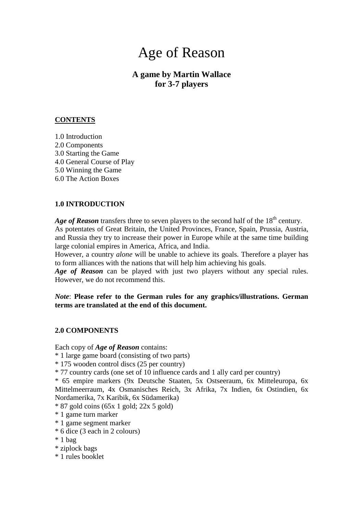# Age of Reason

## **A game by Martin Wallace for 3-7 players**

## **CONTENTS**

1.0 Introduction 2.0 Components 3.0 Starting the Game 4.0 General Course of Play 5.0 Winning the Game 6.0 The Action Boxes

## **1.0 INTRODUCTION**

*Age of Reason* transfers three to seven players to the second half of the  $18<sup>th</sup>$  century. As potentates of Great Britain, the United Provinces, France, Spain, Prussia, Austria, and Russia they try to increase their power in Europe while at the same time building large colonial empires in America, Africa, and India.

However, a country *alone* will be unable to achieve its goals. Therefore a player has to form alliances with the nations that will help him achieving his goals.

*Age of Reason* can be played with just two players without any special rules. However, we do not recommend this.

## *Note*: **Please refer to the German rules for any graphics/illustrations. German terms are translated at the end of this document.**

## **2.0 COMPONENTS**

Each copy of *Age of Reason* contains:

- \* 1 large game board (consisting of two parts)
- \* 175 wooden control discs (25 per country)
- \* 77 country cards (one set of 10 influence cards and 1 ally card per country)

\* 65 empire markers (9x Deutsche Staaten, 5x Ostseeraum, 6x Mitteleuropa, 6x Mittelmeerraum, 4x Osmanisches Reich, 3x Afrika, 7x Indien, 6x Ostindien, 6x Nordamerika, 7x Karibik, 6x Südamerika)

- $*$  87 gold coins (65x 1 gold; 22x 5 gold)
- \* 1 game turn marker
- \* 1 game segment marker
- \* 6 dice (3 each in 2 colours)
- \* 1 bag
- \* ziplock bags
- \* 1 rules booklet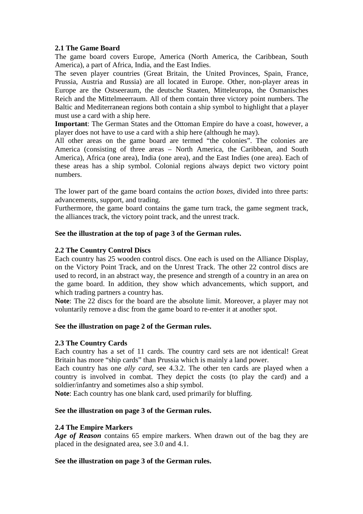## **2.1 The Game Board**

The game board covers Europe, America (North America, the Caribbean, South America), a part of Africa, India, and the East Indies.

The seven player countries (Great Britain, the United Provinces, Spain, France, Prussia, Austria and Russia) are all located in Europe. Other, non-player areas in Europe are the Ostseeraum, the deutsche Staaten, Mitteleuropa, the Osmanisches Reich and the Mittelmeerraum. All of them contain three victory point numbers. The Baltic and Mediterranean regions both contain a ship symbol to highlight that a player must use a card with a ship here.

**Important**: The German States and the Ottoman Empire do have a coast, however, a player does not have to use a card with a ship here (although he may).

All other areas on the game board are termed "the colonies". The colonies are America (consisting of three areas – North America, the Caribbean, and South America), Africa (one area), India (one area), and the East Indies (one area). Each of these areas has a ship symbol. Colonial regions always depict two victory point numbers.

The lower part of the game board contains the *action boxes*, divided into three parts: advancements, support, and trading.

Furthermore, the game board contains the game turn track, the game segment track, the alliances track, the victory point track, and the unrest track.

## **See the illustration at the top of page 3 of the German rules.**

## **2.2 The Country Control Discs**

Each country has 25 wooden control discs. One each is used on the Alliance Display, on the Victory Point Track, and on the Unrest Track. The other 22 control discs are used to record, in an abstract way, the presence and strength of a country in an area on the game board. In addition, they show which advancements, which support, and which trading partners a country has.

**Note**: The 22 discs for the board are the absolute limit. Moreover, a player may not voluntarily remove a disc from the game board to re-enter it at another spot.

## **See the illustration on page 2 of the German rules.**

## **2.3 The Country Cards**

Each country has a set of 11 cards. The country card sets are not identical! Great Britain has more "ship cards" than Prussia which is mainly a land power.

Each country has one *ally card*, see 4.3.2. The other ten cards are played when a country is involved in combat. They depict the costs (to play the card) and a soldier/infantry and sometimes also a ship symbol.

**Note**: Each country has one blank card, used primarily for bluffing.

## **See the illustration on page 3 of the German rules.**

## **2.4 The Empire Markers**

*Age of Reason* contains 65 empire markers. When drawn out of the bag they are placed in the designated area, see 3.0 and 4.1.

## **See the illustration on page 3 of the German rules.**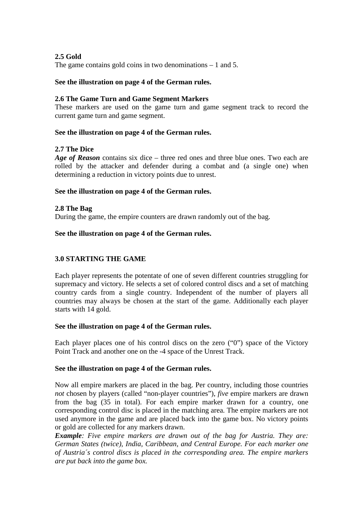## **2.5 Gold**

The game contains gold coins in two denominations – 1 and 5.

## **See the illustration on page 4 of the German rules.**

## **2.6 The Game Turn and Game Segment Markers**

These markers are used on the game turn and game segment track to record the current game turn and game segment.

## **See the illustration on page 4 of the German rules.**

## **2.7 The Dice**

*Age of Reason* contains six dice – three red ones and three blue ones. Two each are rolled by the attacker and defender during a combat and (a single one) when determining a reduction in victory points due to unrest.

#### **See the illustration on page 4 of the German rules.**

#### **2.8 The Bag**

During the game, the empire counters are drawn randomly out of the bag.

## **See the illustration on page 4 of the German rules.**

## **3.0 STARTING THE GAME**

Each player represents the potentate of one of seven different countries struggling for supremacy and victory. He selects a set of colored control discs and a set of matching country cards from a single country. Independent of the number of players all countries may always be chosen at the start of the game. Additionally each player starts with 14 gold.

#### **See the illustration on page 4 of the German rules.**

Each player places one of his control discs on the zero ("0") space of the Victory Point Track and another one on the -4 space of the Unrest Track.

## **See the illustration on page 4 of the German rules.**

Now all empire markers are placed in the bag. Per country, including those countries *not* chosen by players (called "non-player countries"), *five* empire markers are drawn from the bag (35 in total). For each empire marker drawn for a country, one corresponding control disc is placed in the matching area. The empire markers are not used anymore in the game and are placed back into the game box. No victory points or gold are collected for any markers drawn.

*Example: Five empire markers are drawn out of the bag for Austria. They are: German States (twice), India, Caribbean, and Central Europe. For each marker one of Austria´s control discs is placed in the corresponding area. The empire markers are put back into the game box.*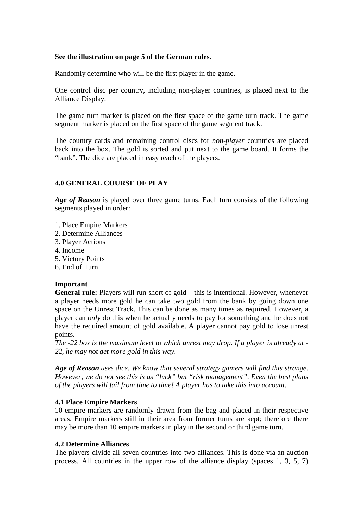#### **See the illustration on page 5 of the German rules.**

Randomly determine who will be the first player in the game.

One control disc per country, including non-player countries, is placed next to the Alliance Display.

The game turn marker is placed on the first space of the game turn track. The game segment marker is placed on the first space of the game segment track.

The country cards and remaining control discs for *non-player* countries are placed back into the box. The gold is sorted and put next to the game board. It forms the "bank". The dice are placed in easy reach of the players.

## **4.0 GENERAL COURSE OF PLAY**

*Age of Reason* is played over three game turns. Each turn consists of the following segments played in order:

- 1. Place Empire Markers
- 2. Determine Alliances
- 3. Player Actions
- 4. Income
- 5. Victory Points
- 6. End of Turn

## **Important**

**General rule:** Players will run short of gold – this is intentional. However, whenever a player needs more gold he can take two gold from the bank by going down one space on the Unrest Track. This can be done as many times as required. However, a player can *only* do this when he actually needs to pay for something and he does not have the required amount of gold available. A player cannot pay gold to lose unrest points.

*The -22 box is the maximum level to which unrest may drop. If a player is already at - 22, he may not get more gold in this way.*

*Age of Reason uses dice. We know that several strategy gamers will find this strange. However, we do not see this is as "luck" but "risk management". Even the best plans of the players will fail from time to time! A player has to take this into account.*

## **4.1 Place Empire Markers**

10 empire markers are randomly drawn from the bag and placed in their respective areas. Empire markers still in their area from former turns are kept; therefore there may be more than 10 empire markers in play in the second or third game turn.

#### **4.2 Determine Alliances**

The players divide all seven countries into two alliances. This is done via an auction process. All countries in the upper row of the alliance display (spaces 1, 3, 5, 7)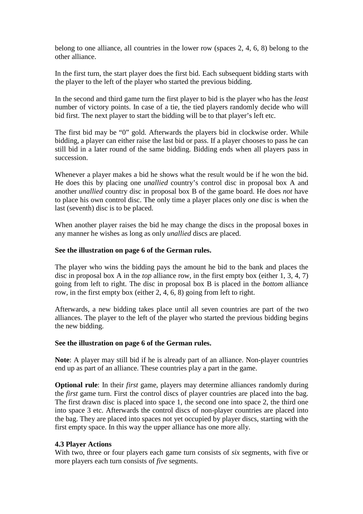belong to one alliance, all countries in the lower row (spaces 2, 4, 6, 8) belong to the other alliance.

In the first turn, the start player does the first bid. Each subsequent bidding starts with the player to the left of the player who started the previous bidding.

In the second and third game turn the first player to bid is the player who has the *least* number of victory points. In case of a tie, the tied players randomly decide who will bid first. The next player to start the bidding will be to that player's left etc.

The first bid may be "0" gold. Afterwards the players bid in clockwise order. While bidding, a player can either raise the last bid or pass. If a player chooses to pass he can still bid in a later round of the same bidding. Bidding ends when all players pass in succession.

Whenever a player makes a bid he shows what the result would be if he won the bid. He does this by placing one *unallied* country's control disc in proposal box A and another *unallied* country disc in proposal box B of the game board. He does *not* have to place his own control disc. The only time a player places only *one* disc is when the last (seventh) disc is to be placed.

When another player raises the bid he may change the discs in the proposal boxes in any manner he wishes as long as only *unallied* discs are placed.

#### **See the illustration on page 6 of the German rules.**

The player who wins the bidding pays the amount he bid to the bank and places the disc in proposal box A in the *top* alliance row, in the first empty box (either 1, 3, 4, 7) going from left to right. The disc in proposal box B is placed in the *bottom* alliance row, in the first empty box (either 2, 4, 6, 8) going from left to right.

Afterwards, a new bidding takes place until all seven countries are part of the two alliances. The player to the left of the player who started the previous bidding begins the new bidding.

#### **See the illustration on page 6 of the German rules.**

**Note**: A player may still bid if he is already part of an alliance. Non-player countries end up as part of an alliance. These countries play a part in the game.

**Optional rule**: In their *first* game, players may determine alliances randomly during the *first* game turn. First the control discs of player countries are placed into the bag. The first drawn disc is placed into space 1, the second one into space 2, the third one into space 3 etc. Afterwards the control discs of non-player countries are placed into the bag. They are placed into spaces not yet occupied by player discs, starting with the first empty space. In this way the upper alliance has one more ally.

## **4.3 Player Actions**

With two, three or four players each game turn consists of *six* segments, with five or more players each turn consists of *five* segments.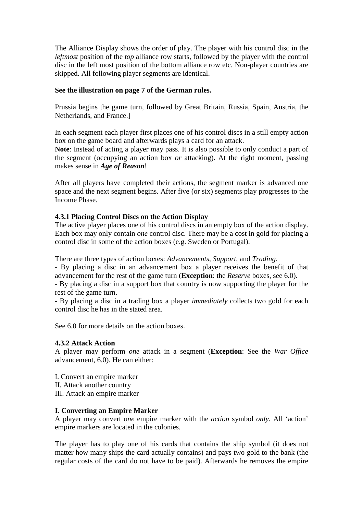The Alliance Display shows the order of play. The player with his control disc in the *leftmost* position of the *top* alliance row starts, followed by the player with the control disc in the left most position of the bottom alliance row etc. Non-player countries are skipped. All following player segments are identical.

## **See the illustration on page 7 of the German rules.**

Prussia begins the game turn, followed by Great Britain, Russia, Spain, Austria, the Netherlands, and France.]

In each segment each player first places one of his control discs in a still empty action box on the game board and afterwards plays a card for an attack.

**Note**: Instead of acting a player may pass. It is also possible to only conduct a part of the segment (occupying an action box *or* attacking). At the right moment, passing makes sense in *Age of Reason*!

After all players have completed their actions, the segment marker is advanced one space and the next segment begins. After five (or six) segments play progresses to the Income Phase.

## **4.3.1 Placing Control Discs on the Action Display**

The active player places one of his control discs in an empty box of the action display. Each box may only contain *one* control disc. There may be a cost in gold for placing a control disc in some of the action boxes (e.g. Sweden or Portugal).

There are three types of action boxes: *Advancements*, *Support*, and *Trading*.

- By placing a disc in an advancement box a player receives the benefit of that advancement for the rest of the game turn (**Exception**: the *Reserve* boxes, see 6.0).

- By placing a disc in a support box that country is now supporting the player for the rest of the game turn.

- By placing a disc in a trading box a player *immediately* collects two gold for each control disc he has in the stated area.

See 6.0 for more details on the action boxes.

## **4.3.2 Attack Action**

A player may perform *one* attack in a segment (**Exception**: See the *War Office* advancement, 6.0). He can either:

- I. Convert an empire marker II. Attack another country
- III. Attack an empire marker

## **I. Converting an Empire Marker**

A player may convert *one* empire marker with the *action* symbol *only*. All 'action' empire markers are located in the colonies.

The player has to play one of his cards that contains the ship symbol (it does not matter how many ships the card actually contains) and pays two gold to the bank (the regular costs of the card do not have to be paid). Afterwards he removes the empire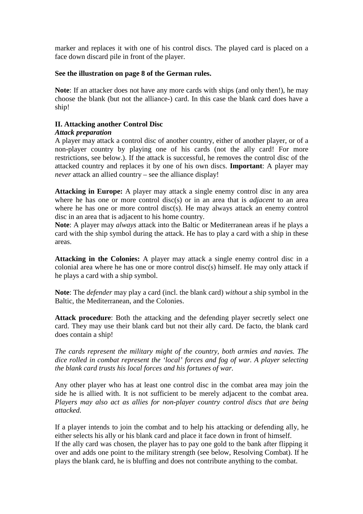marker and replaces it with one of his control discs. The played card is placed on a face down discard pile in front of the player.

## **See the illustration on page 8 of the German rules.**

**Note**: If an attacker does not have any more cards with ships (and only then!), he may choose the blank (but not the alliance-) card. In this case the blank card does have a ship!

## **II. Attacking another Control Disc**

## *Attack preparation*

A player may attack a control disc of another country, either of another player, or of a non-player country by playing one of his cards (not the ally card! For more restrictions, see below.). If the attack is successful, he removes the control disc of the attacked country and replaces it by one of his own discs. **Important**: A player may *never* attack an allied country – see the alliance display!

**Attacking in Europe:** A player may attack a single enemy control disc in any area where he has one or more control disc(s) or in an area that is *adjacent* to an area where he has one or more control disc(s). He may always attack an enemy control disc in an area that is adjacent to his home country.

**Note**: A player may *always* attack into the Baltic or Mediterranean areas if he plays a card with the ship symbol during the attack. He has to play a card with a ship in these areas.

**Attacking in the Colonies:** A player may attack a single enemy control disc in a colonial area where he has one or more control disc(s) himself. He may only attack if he plays a card with a ship symbol.

**Note**: The *defender* may play a card (incl. the blank card) *without* a ship symbol in the Baltic, the Mediterranean, and the Colonies.

**Attack procedure**: Both the attacking and the defending player secretly select one card. They may use their blank card but not their ally card. De facto, the blank card does contain a ship!

*The cards represent the military might of the country, both armies and navies. The dice rolled in combat represent the 'local' forces and fog of war. A player selecting the blank card trusts his local forces and his fortunes of war.*

Any other player who has at least one control disc in the combat area may join the side he is allied with. It is not sufficient to be merely adjacent to the combat area. *Players may also act as allies for non-player country control discs that are being attacked.*

If a player intends to join the combat and to help his attacking or defending ally, he either selects his ally or his blank card and place it face down in front of himself. If the ally card was chosen, the player has to pay one gold to the bank after flipping it over and adds one point to the military strength (see below, Resolving Combat). If he plays the blank card, he is bluffing and does not contribute anything to the combat.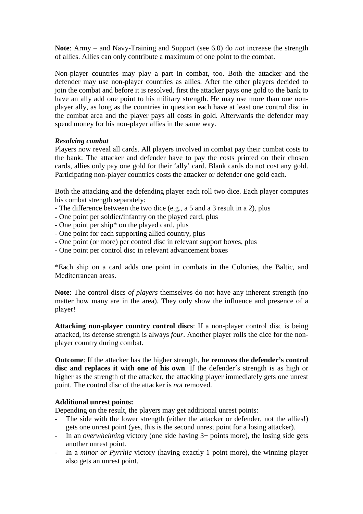**Note**: Army – and Navy-Training and Support (see 6.0) do *not* increase the strength of allies. Allies can only contribute a maximum of one point to the combat.

Non-player countries may play a part in combat, too. Both the attacker and the defender may use non-player countries as allies. After the other players decided to join the combat and before it is resolved, first the attacker pays one gold to the bank to have an ally add one point to his military strength. He may use more than one nonplayer ally, as long as the countries in question each have at least one control disc in the combat area and the player pays all costs in gold. Afterwards the defender may spend money for his non-player allies in the same way.

## *Resolving combat*

Players now reveal all cards. All players involved in combat pay their combat costs to the bank: The attacker and defender have to pay the costs printed on their chosen cards, allies only pay one gold for their 'ally' card. Blank cards do not cost any gold. Participating non-player countries costs the attacker or defender one gold each.

Both the attacking and the defending player each roll two dice. Each player computes his combat strength separately:

- The difference between the two dice (e.g., a 5 and a 3 result in a 2), plus
- One point per soldier/infantry on the played card, plus
- One point per ship\* on the played card, plus
- One point for each supporting allied country, plus
- One point (or more) per control disc in relevant support boxes, plus
- One point per control disc in relevant advancement boxes

\*Each ship on a card adds one point in combats in the Colonies, the Baltic, and Mediterranean areas.

**Note**: The control discs *of players* themselves do not have any inherent strength (no matter how many are in the area). They only show the influence and presence of a player!

**Attacking non-player country control discs**: If a non-player control disc is being attacked, its defense strength is always *four*. Another player rolls the dice for the nonplayer country during combat.

**Outcome**: If the attacker has the higher strength, **he removes the defender's control disc and replaces it with one of his own**. If the defender´s strength is as high or higher as the strength of the attacker, the attacking player immediately gets one unrest point. The control disc of the attacker is *not* removed.

## **Additional unrest points:**

Depending on the result, the players may get additional unrest points:

- The side with the lower strength (either the attacker or defender, not the allies!) gets one unrest point (yes, this is the second unrest point for a losing attacker).
- In an *overwhelming* victory (one side having 3+ points more), the losing side gets another unrest point.
- In a *minor or Pyrrhic* victory (having exactly 1 point more), the winning player also gets an unrest point.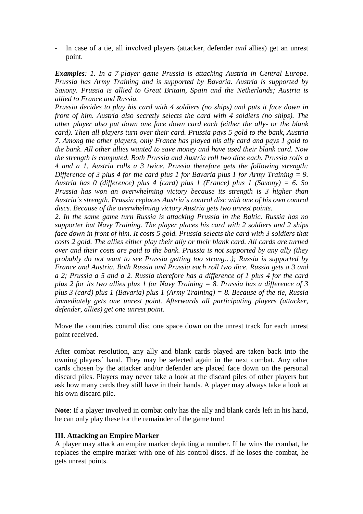- In case of a tie, all involved players (attacker, defender *and* allies) get an unrest point.

*Examples: 1. In a 7-player game Prussia is attacking Austria in Central Europe. Prussia has Army Training and is supported by Bavaria. Austria is supported by Saxony. Prussia is allied to Great Britain, Spain and the Netherlands; Austria is allied to France and Russia.*

*Prussia decides to play his card with 4 soldiers (no ships) and puts it face down in front of him. Austria also secretly selects the card with 4 soldiers (no ships). The other player also put down one face down card each (either the ally- or the blank card). Then all players turn over their card. Prussia pays 5 gold to the bank, Austria 7. Among the other players, only France has played his ally card and pays 1 gold to the bank. All other allies wanted to save money and have used their blank card. Now the strength is computed. Both Prussia and Austria roll two dice each. Prussia rolls a 4 and a 1, Austria rolls a 3 twice. Prussia therefore gets the following strength: Difference of 3 plus 4 for the card plus 1 for Bavaria plus 1 for Army Training = 9. Austria has 0 (difference) plus 4 (card) plus 1 (France) plus 1 (Saxony) = 6. So Prussia has won an overwhelming victory because its strength is 3 higher than Austria´s strength. Prussia replaces Austria´s control disc with one of his own control discs. Because of the overwhelming victory Austria gets two unrest points.*

*2. In the same game turn Russia is attacking Prussia in the Baltic. Russia has no supporter but Navy Training. The player places his card with 2 soldiers and 2 ships face down in front of him. It costs 5 gold. Prussia selects the card with 3 soldiers that costs 2 gold. The allies either play their ally or their blank card. All cards are turned over and their costs are paid to the bank. Prussia is not supported by any ally (they probably do not want to see Prussia getting too strong…); Russia is supported by France and Austria. Both Russia and Prussia each roll two dice. Russia gets a 3 and a 2; Prussia a 5 and a 2. Russia therefore has a difference of 1 plus 4 for the card plus 2 for its two allies plus 1 for Navy Training = 8. Prussia has a difference of 3 plus 3 (card) plus 1 (Bavaria) plus 1 (Army Training) = 8. Because of the tie, Russia immediately gets one unrest point. Afterwards all participating players (attacker, defender, allies) get one unrest point.*

Move the countries control disc one space down on the unrest track for each unrest point received.

After combat resolution, any ally and blank cards played are taken back into the owning players´ hand. They may be selected again in the next combat. Any other cards chosen by the attacker and/or defender are placed face down on the personal discard piles. Players may never take a look at the discard piles of other players but ask how many cards they still have in their hands. A player may always take a look at his own discard pile.

**Note**: If a player involved in combat only has the ally and blank cards left in his hand, he can only play these for the remainder of the game turn!

## **III. Attacking an Empire Marker**

A player may attack an empire marker depicting a number. If he wins the combat, he replaces the empire marker with one of his control discs. If he loses the combat, he gets unrest points.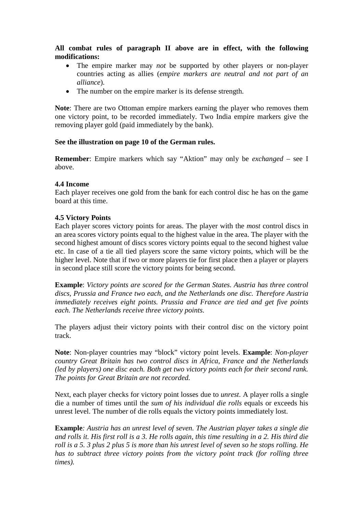**All combat rules of paragraph II above are in effect, with the following modifications:**

- The empire marker may *not* be supported by other players or non-player countries acting as allies (*empire markers are neutral and not part of an alliance*).
- The number on the empire marker is its defense strength.

**Note**: There are two Ottoman empire markers earning the player who removes them one victory point, to be recorded immediately. Two India empire markers give the removing player gold (paid immediately by the bank).

## **See the illustration on page 10 of the German rules.**

**Remember**: Empire markers which say "Aktion" may only be *exchanged* – see I above.

#### **4.4 Income**

Each player receives one gold from the bank for each control disc he has on the game board at this time.

## **4.5 Victory Points**

Each player scores victory points for areas. The player with the *most* control discs in an area scores victory points equal to the highest value in the area. The player with the second highest amount of discs scores victory points equal to the second highest value etc. In case of a tie all tied players score the same victory points, which will be the higher level. Note that if two or more players tie for first place then a player or players in second place still score the victory points for being second.

**Example**: *Victory points are scored for the German States. Austria has three control discs, Prussia and France two each, and the Netherlands one disc. Therefore Austria immediately receives eight points. Prussia and France are tied and get five points each. The Netherlands receive three victory points.*

The players adjust their victory points with their control disc on the victory point track.

**Note**: Non-player countries may "block" victory point levels. **Example**: *Non-player country Great Britain has two control discs in Africa, France and the Netherlands (led by players) one disc each. Both get two victory points each for their second rank. The points for Great Britain are not recorded.*

Next, each player checks for victory point losses due to *unrest*. A player rolls a single die a number of times until the *sum of his individual die rolls* equals or exceeds his unrest level. The number of die rolls equals the victory points immediately lost.

**Example***: Austria has an unrest level of seven. The Austrian player takes a single die and rolls it. His first roll is a 3. He rolls again, this time resulting in a 2. His third die roll is a 5. 3 plus 2 plus 5 is more than his unrest level of seven so he stops rolling. He has to subtract three victory points from the victory point track (for rolling three times).*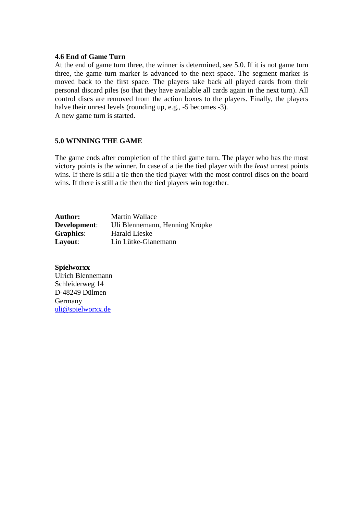#### **4.6 End of Game Turn**

At the end of game turn three, the winner is determined, see 5.0. If it is not game turn three, the game turn marker is advanced to the next space. The segment marker is moved back to the first space. The players take back all played cards from their personal discard piles (so that they have available all cards again in the next turn). All control discs are removed from the action boxes to the players. Finally, the players halve their unrest levels (rounding up, e.g., -5 becomes -3).

A new game turn is started.

## **5.0 WINNING THE GAME**

The game ends after completion of the third game turn. The player who has the most victory points is the winner. In case of a tie the tied player with the *least* unrest points wins. If there is still a tie then the tied player with the most control discs on the board wins. If there is still a tie then the tied players win together.

| <b>Author:</b>   | Martin Wallace                 |
|------------------|--------------------------------|
| Development:     | Uli Blennemann, Henning Kröpke |
| <b>Graphics:</b> | <b>Harald Lieske</b>           |
| Layout:          | Lin Lütke-Glanemann            |

**Spielworxx** Ulrich Blennemann Schleiderweg 14 D-48249 Dülmen Germany uli@spielworxx.de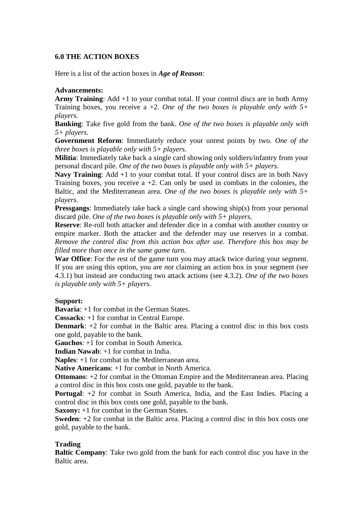## **6.0 THE ACTION BOXES**

Here is a list of the action boxes in *Age of Reason*:

## **Advancements:**

**Army Training**: Add +1 to your combat total. If your control discs are in both Army Training boxes, you receive a +2. *One of the two boxes is playable only with 5+ players.*

**Banking**: Take five gold from the bank. *One of the two boxes is playable only with 5+ players.*

**Government Reform**: Immediately reduce your unrest points by two. *One of the three boxes is playable only with 5+ players.*

**Militia**: Immediately take back a single card showing only soldiers/infantry from your personal discard pile. *One of the two boxes is playable only with 5+ players.*

**Navy Training:** Add +1 to your combat total. If your control discs are in both Navy Training boxes, you receive  $a +2$ . Can only be used in combats in the colonies, the Baltic, and the Mediterranean area. *One of the two boxes is playable only with 5+ players.*

**Pressgangs:** Immediately take back a single card showing ship(s) from your personal discard pile. *One of the two boxes is playable only with 5+ players.*

**Reserve**: Re-roll both attacker and defender dice in a combat with another country or empire marker. Both the attacker and the defender may use reserves in a combat. *Remove the control disc from this action box after use. Therefore this box may be filled more than once in the same game turn.*

**War Office**: For the rest of the game turn you may attack twice during your segment. If you are using this option, you are *not* claiming an action box in your segment (see 4.3.1) but instead are conducting two attack actions (see 4.3.2). *One of the two boxes is playable only with 5+ players.*

## **Support:**

**Bavaria**: +1 for combat in the German States.

**Cossacks**: +1 for combat in Central Europe.

**Denmark**: +2 for combat in the Baltic area. Placing a control disc in this box costs one gold, payable to the bank.

**Gauchos**: +1 for combat in South America.

**Indian Nawab**: +1 for combat in India.

**Naples**: +1 for combat in the Mediterranean area.

**Native Americans**: +1 for combat in North America.

**Ottomans**: +2 for combat in the Ottoman Empire and the Mediterranean area. Placing a control disc in this box costs one gold, payable to the bank.

**Portugal:** +2 for combat in South America, India, and the East Indies. Placing a control disc in this box costs one gold, payable to the bank.

**Saxony:** +1 for combat in the German States.

**Sweden**: +2 for combat in the Baltic area. Placing a control disc in this box costs one gold, payable to the bank.

## **Trading**

**Baltic Company**: Take two gold from the bank for each control disc you have in the Baltic area.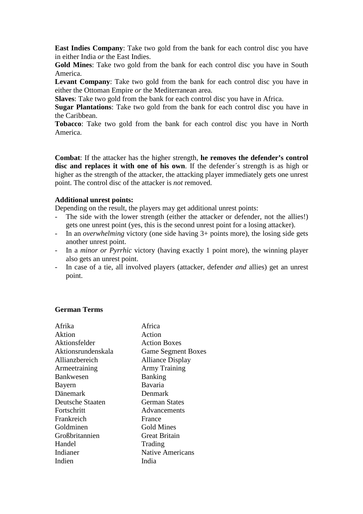**East Indies Company**: Take two gold from the bank for each control disc you have in either India *or* the East Indies.

**Gold Mines**: Take two gold from the bank for each control disc you have in South America.

**Levant Company**: Take two gold from the bank for each control disc you have in either the Ottoman Empire *or* the Mediterranean area.

**Slaves**: Take two gold from the bank for each control disc you have in Africa.

**Sugar Plantations**: Take two gold from the bank for each control disc you have in the Caribbean.

**Tobacco**: Take two gold from the bank for each control disc you have in North America.

**Combat**: If the attacker has the higher strength, **he removes the defender's control disc and replaces it with one of his own**. If the defender´s strength is as high or higher as the strength of the attacker, the attacking player immediately gets one unrest point. The control disc of the attacker is *not* removed.

#### **Additional unrest points:**

Depending on the result, the players may get additional unrest points:

- The side with the lower strength (either the attacker or defender, not the allies!) gets one unrest point (yes, this is the second unrest point for a losing attacker).
- In an *overwhelming* victory (one side having 3+ points more), the losing side gets another unrest point.
- In a *minor or Pyrrhic* victory (having exactly 1 point more), the winning player also gets an unrest point.
- In case of a tie, all involved players (attacker, defender *and* allies) get an unrest point.

## **German Terms**

| Afrika             | Africa                    |
|--------------------|---------------------------|
| Aktion             | Action                    |
| Aktionsfelder      | <b>Action Boxes</b>       |
| Aktionsrundenskala | <b>Game Segment Boxes</b> |
| Allianzbereich     | <b>Alliance Display</b>   |
| Armeetraining      | <b>Army Training</b>      |
| <b>Bankwesen</b>   | <b>Banking</b>            |
| Bayern             | Bavaria                   |
| Dänemark           | Denmark                   |
| Deutsche Staaten   | <b>German States</b>      |
| Fortschritt        | Advancements              |
| Frankreich         | France                    |
| Goldminen          | Gold Mines                |
| Großbritannien     | <b>Great Britain</b>      |
| Handel             | Trading                   |
| Indianer           | <b>Native Americans</b>   |
| Indien             | India                     |
|                    |                           |